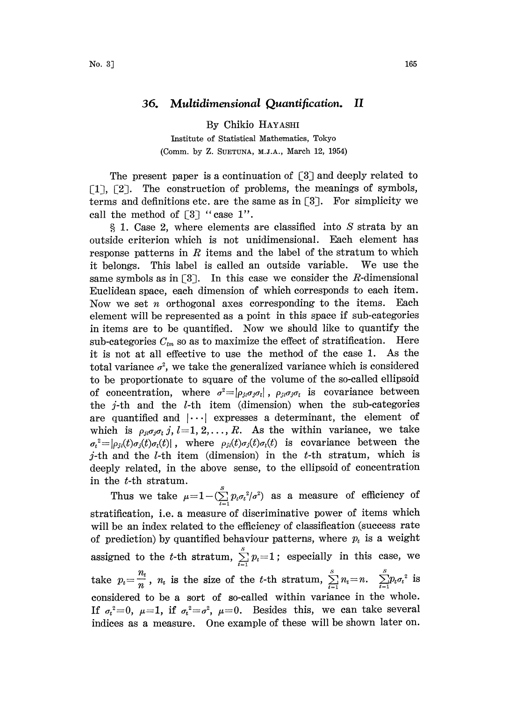## 36. Multidimensional Quantification. II

By Chikio HAYASHI Institute of Statistical Mathematics, Tokyo (Comm. by Z. SUETUNA, M.J.A., March 12, 1954)

The present paper is a continuation of  $\lceil 3 \rceil$  and deeply related to  $\lceil 1 \rceil$ ,  $\lceil 2 \rceil$ . The construction of problems, the meanings of symbols, The construction of problems, the meanings of symbols, terms and definitions etc. are the same as in  $[3]$ . For simplicity we call the method of  $\lceil 3 \rceil$  "case 1".

1. Case 2, where elements are classified into S strata by an outside criterion which is not unidimensional. Each element has response patterns in  $R$  items and the label of the stratum to which it belongs. This label is called an outside variable. We use the same symbols as in  $\lceil 3 \rceil$ . In this case we consider the R-dimensional Euclidean space, each dimension of which corresponds to each item. Now we set *n* orthogonal axes corresponding to the items. Each element will be represented as a point in this space if sub-categories in items are to be quantified. Now we should like to quantify the sub-categories  $C_{\text{tm}}$  so as to maximize the effect of stratification. Here it is not at all effective to use the method of the case 1. As the total variance  $\sigma^2$ , we take the generalized variance which is considered to be proportionate to square of the volume of the so-called ellipsoid of concentration, where  $\sigma^2 = |\rho_{ji}\sigma_j\sigma_i|$ ,  $\rho_{ji}\sigma_j\sigma_i$  is covariance between the  $j$ -th and the  $l$ -th item (dimension) when the sub-categories are quantified and  $|\cdots|$  expresses a determinant, the element of which is  $\rho_{ji}\sigma_j\sigma_i$  j,  $l=1, 2, \ldots, R$ . As the within variance, we take  $\sigma_t^2 = |\rho_{jt}(t)\sigma_j(t)\sigma_t(t)|$ , where  $\rho_{jt}(t)\sigma_j(t)\sigma_t(t)$  is covariance between the j-th and the *l*-th item (dimension) in the *t*-th stratum, which is deeply related, in the above sense, to the ellipsoid of concentration in the t-th stratum.

Thus we take  $\mu=1-(\sum_{i=1}^{s}p_{i}\sigma_{i}^{2}/\sigma^{2})$  as a measure of efficiency of stratification, i.e. a measure of discriminative power of items which will be an index related to the efficiency of classification (success rate of prediction) by quantified behaviour patterns, where  $p_i$  is a weight assigned to the t-th stratum,  $\sum_{i=1}^{s} p_i = 1$ ; especially in this case, we take  $p_t = \frac{n_t}{n}$ ,  $n_t$  is the size of the t-th stratum,  $\sum_{t=1}^{S} n_t = n$ .  $\sum_{t=1}^{S} p_t \sigma_t^2$  is considered to be a sort of so-called within variance in the whole. If  $\sigma_t^2=0$ ,  $\mu=1$ , if  $\sigma_t^2=\sigma^2$ ,  $\mu=0$ . Besides this, we can take several indices as a measure. One example of these will be shown later on.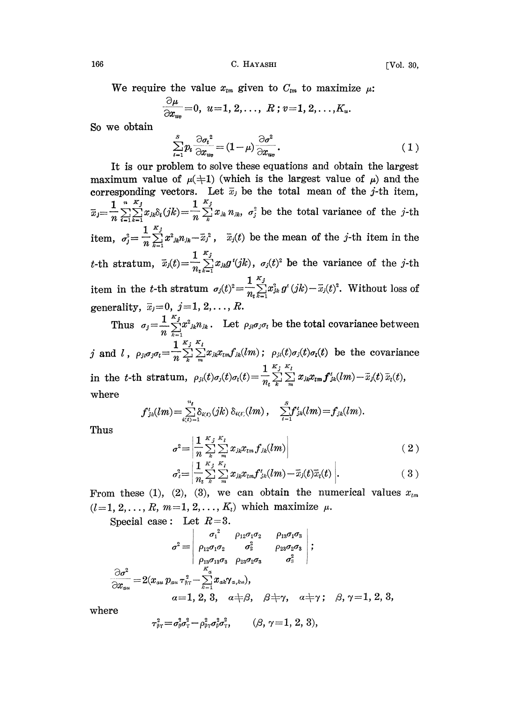We require the value  $x_{\text{tm}}$  given to  $C_{\text{tm}}$  to maximize  $\mu$ :

$$
\frac{\partial \mu}{\partial x_{uv}} = 0, \ \ u = 1, 2, \ldots, \ R; v = 1, 2, \ldots, K_u.
$$

So we obtain

$$
\sum_{i=1}^{S} p_i \frac{\partial \sigma_i^2}{\partial x_{uv}} = (1 - \mu) \frac{\partial \sigma^2}{\partial x_{uv}}.
$$
\n(1)

It is our problem to solve hese equations and obtain the largest maximum value of  $\mu(\pm 1)$  (which is the largest value of  $\mu$ ) and the corresponding vectors. Let  $\bar{x}_j$  be the total mean of the j-th item, corresponding vectors. Let  $\overline{x}_j$  be the total mean of the j-th item,<br> $\overline{x}_j = \frac{1}{n} \sum_{i=1}^n \sum_{k=1}^n x_{jk} \delta_i(jk) = \frac{1}{n} \sum_{k=1}^n x_{jk} n_{jk}$ ,  $\sigma_j^2$  be the total variance of the j-th item,  $\sigma_j^2 = \frac{1}{n} \sum_{k=1}^{K_j} x_{jk}^2 n_{jk} - \bar{x}_j^2$ ,  $\bar{x}_j(t)$  be the mean of the j-th item in the t-th stratum,  $\bar{x}_j(t)=\frac{1}{n}\sum_{k=1}^{K_j}x_{jk}g^i(jk)$ ,  $\sigma_j(t)^2$  be the variance of the j-th item in the t-th stratum  $\sigma_j(t)^2 = \frac{1}{n_t} \sum_{k=1}^{\infty} x_{jk}^2 g^t (jk) - \overline{x}_j(t)^2$ . Without loss of generality,  $\overline{x}_j = 0, j = 1, 2, \ldots, R$ .

Thus  $\sigma_j = \frac{1}{n} \sum_{k=1}^{K_j} x^2_{jk} n_{jk}$ . Let  $\rho_{ji} \sigma_j \sigma_i$  be the total covariance between

j and l,  $\rho_{ji}\sigma_j\sigma_l = \frac{1}{n}\sum_{k=1}^{K_j} \sum_{k=1}^{K_l} x_{jk}x_{lm}f_{jk}(lm)$ ;  $\rho_{ji}(t)\sigma_j(t)\sigma_i(t)$  be the covariance in the t-th stratum,  $\rho_{ji}(t)\sigma_i(t)=\frac{1}{n_i}\sum_{k}^{K_j}\sum_{m}^{K_l}x_{jk}x_{lm}f'_{jk}(lm)-\bar{x}_j(t)\bar{x}_i(t),$ where

$$
f'_{jk}(lm) = \sum_{i(t) = 1}^{n_t} \delta_{i(t)}(jk) \, \delta_{i(t)}(lm) \, , \quad \sum_{t=1}^{S} f'_{jk}(lm) = f_{jk}(lm).
$$

Thus

$$
\sigma^{2} = \left| \frac{1}{n} \sum_{k}^{K} \sum_{m}^{N} x_{jk} x_{lm} f_{jk}(lm) \right|
$$
\n
$$
\left| \frac{1}{n} \sum_{k}^{K} x_{l} \right|
$$
\n(2)

$$
\sigma_{i}^{2} = \left| \frac{1}{n_{i}} \sum_{k}^{K_{j}} \sum_{m}^{K_{l}} x_{jk} x_{lm} f'_{jk}(lm) - \overline{x}_{j}(t) \overline{x}_{i}(t) \right|.
$$
 (3)

From these (1), (2), (3), we can obtain the numerical values  $x_{im}$  $(l=1, 2, \ldots, R, m=1, 2, \ldots, K_i)$  which maximize  $\mu$ .

Special case: Let  $R=3$ .

Special case: Let 
$$
R=3
$$
.  
\n
$$
\sigma^2 = \begin{vmatrix}\n\sigma_1^2 & \rho_{12}\sigma_1\sigma_2 & \rho_{13}\sigma_1\sigma_3 \\
\rho_{12}\sigma_1\sigma_2 & \sigma_2^2 & \rho_{23}\sigma_2\sigma_3 \\
\rho_{13}\sigma_{13}\sigma_3 & \rho_{23}\sigma_2\sigma_3 & \sigma_3^2\n\end{vmatrix};
$$
\n
$$
\frac{\partial \sigma^2}{\partial x_{au}} = 2(x_{au}p_{au}\tau_{\text{RT}}^2 - \sum_{k=1}^{K} x_{ak} \gamma_{a,ku}),
$$
\n
$$
\alpha = 1, 2, 3, \quad \alpha \neq \beta, \quad \beta \neq \gamma, \quad \alpha \neq \gamma; \quad \beta, \gamma = 1, 2, 3,
$$

where

$$
\tau_{\beta\tau}^2 = \sigma_{\beta}^2 \sigma_{\tau}^2 - \rho_{\beta\tau}^2 \sigma_{\beta}^2 \sigma_{\tau}^2, \qquad (\beta, \gamma = 1, 2, 3),
$$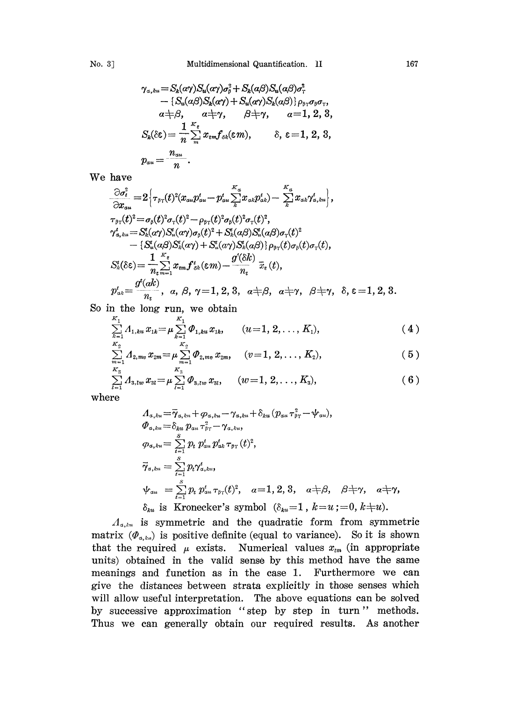$$
\gamma_{a,ku} = S_k(\alpha \gamma) S_u(\alpha \gamma) \sigma_{\beta}^2 + S_k(\alpha \beta) S_u(\alpha \beta) \sigma_{\gamma}^2 \n- \{S_u(\alpha \beta) S_k(\alpha \gamma) + S_u(\alpha \gamma) S_k(\alpha \beta) \} \rho_{\beta \gamma} \sigma_{\beta} \sigma_{\gamma}, \n\alpha \neq \beta, \qquad \alpha \neq \gamma, \qquad \beta \neq \gamma, \qquad \alpha = 1, 2, 3, \nS_k(\delta \varepsilon) = \frac{1}{n} \sum_{m}^{K_{\varepsilon}} x_{\varepsilon m} f_{\delta k}(\varepsilon m), \qquad \delta, \varepsilon = 1, 2, 3, \n\gamma_{\alpha u} = \frac{n_{\alpha u}}{n}.
$$

We have

$$
\frac{\partial \sigma_t^2}{\partial x_{au}} = 2 \Big[ \tau_{\beta\gamma}(t)^2 (x_{au} p_{au}^t - p_{au}^t \sum_k x_{ak} p_{ak}^t) - \sum_k x_{ak} \gamma_{a,ku}^t \Big],
$$
\n
$$
\tau_{\beta\gamma}(t)^2 = \sigma_\beta(t)^2 \sigma_\gamma(t)^2 - \rho_{\beta\gamma}(t)^2 \sigma_\beta(t)^2 \sigma_\gamma(t)^2,
$$
\n
$$
\gamma_{a,ku}^t = S_k^t(\alpha \gamma) S_u^t(\alpha \gamma) \sigma_\beta(t)^2 + S_k^t(\alpha \beta) S_u^t(\alpha \beta) \sigma_\gamma(t)^2
$$
\n
$$
- \{S_u^t(\alpha \beta) S_k^t(\alpha \gamma) + S_u^t(\alpha \gamma) S_k^t(\alpha \beta) \} \rho_{\beta\gamma}(t) \sigma_\beta(t) \sigma_\gamma(t),
$$
\n
$$
S_k^t(\delta \varepsilon) = \frac{1}{n_c} \sum_{m=1}^{K_\varepsilon} x_{em} f_{\delta k}^t(\varepsilon m) - \frac{g^t(\delta k)}{n_t} \bar{x}_\varepsilon(t),
$$
\n
$$
p_{ak}^t = \frac{g^t(\alpha k)}{n_t}, \quad \alpha, \beta, \gamma = 1, 2, 3, \quad \alpha \neq \beta, \quad \alpha \neq \gamma, \quad \beta \neq \gamma, \quad \delta, \varepsilon = 1, 2, 3.
$$

So in the long run, we obtain  
\n
$$
\sum_{k=1}^{K_1} \Lambda_{1,ku} x_{1k} = \mu \sum_{k=1}^{K_1} \varPhi_{1,ku} x_{1k}, \qquad (u=1, 2, \ldots, K_1),
$$
\n(4)

$$
\sum_{k=1}^{K} \sum_{i=1, k n}^{K_1, k n} x_{1k} = \mu \sum_{k=1}^{K_2} \Phi_{2, m n} x_{2m}, \quad (v=1, 2, \ldots, K_2),
$$
\n
$$
\sum_{m=1}^{K_2} \Lambda_{2, m n} x_{2m} = \mu \sum_{m=1}^{K_2} \Phi_{2, m n} x_{2m}, \quad (v=1, 2, \ldots, K_2),
$$
\n(5)

$$
\sum_{l=1}^{k_3} \Lambda_{3, lw} x_{3l} = \mu \sum_{l=1}^{k_3} \varPhi_{3, lw} x_{3l}, \qquad (w = 1, 2, \ldots, K_3), \qquad (6)
$$

where

$$
A_{a,ku} = \overline{\gamma}_{a,ku} + \varphi_{a,ku} - \gamma_{a,ku} + \delta_{ku} (p_{au} \tau_{\beta\gamma}^2 - \psi_{au}),
$$
  
\n
$$
\varPhi_{a,ku} = \delta_{ku} p_{au} \tau_{\beta\gamma}^2 - \gamma_{a,ku},
$$
  
\n
$$
\varphi_{a,ku} = \sum_{i=1}^{S} p_i p_{au}^t p_{ak}^t \tau_{\beta\gamma} (t)^2,
$$
  
\n
$$
\overline{\gamma}_{a,ku} = \sum_{i=1}^{S} p_i \gamma_{a,ku}^t,
$$
  
\n
$$
\psi_{au} = \sum_{i=1}^{S} p_i p_{au}^t \tau_{\beta\gamma} (t)^2, \quad a=1, 2, 3, \quad a \neq \beta, \quad \beta \neq \gamma, \quad a \neq \gamma,
$$
  
\n
$$
\delta_{ku} \text{ is Kronecker's symbol } (\delta_{ku} = 1, k = u; = 0, k \neq u).
$$

 $\Lambda_{a,\lambda u}$  is symmetric and the quadratic form from symmetric matrix  $(\varPhi_{\alpha,k\omega})$  is positive definite (equal to variance). So it is shown that the required  $\mu$  exists. Numerical values  $x_{\ell m}$  (in appropriate units) obtained in the valid sense by this method have the same meanings and function as in the case 1. Furthermore we can give the distances between strata explicitly in those senses which will allow useful interpretation. The above equations can be solved by successive approximation "step by step in turn " methods. Thus we can generally obtain our required results. As another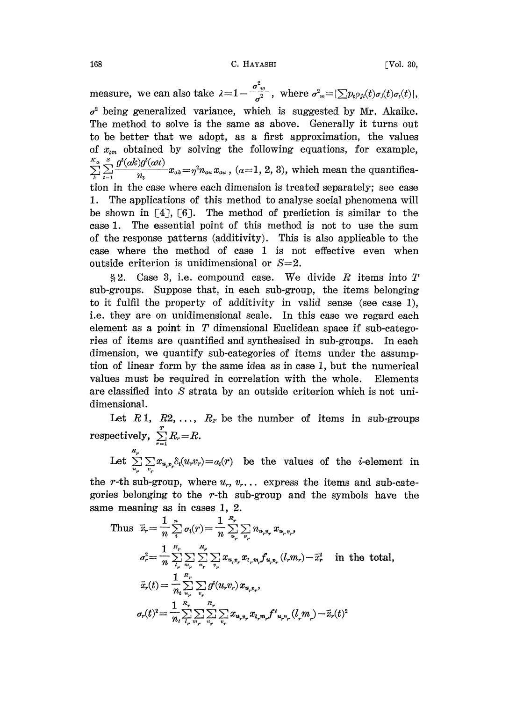measure, we can also take  $\lambda = 1 - \frac{\sigma^2 w}{\sigma^2}$ , where  $\sigma^2 w = |\sum p_i \rho_{ji}(t) \sigma_j(t) \sigma_i(t)|$ ,  $\sigma^2$  being generalized variance, which is suggested by Mr. Akaike. The method to solve is the same as above. Generally it turns out to be better that we adopt, as a first approximation, the values of  $x_{im}$  obtained by solving the following equations, for example,  $g^{\prime\!\prime}(ak)g^{\prime\!\prime}(au)$  $\sum_{t=1}^{s} \frac{g^{t}(ak)g^{t}(all)}{n_{t}} x_{ak} = \eta^{2} n_{au} x_{au}$ , (a=1, 2, 3), which mean the quantification in the case where each dimension is treated separately; see case 1. The applications of this method to analyse social phenomena will be shown in  $[4]$ ,  $[6]$ . The method of prediction is similar to the case 1. The essential point of this method is not to use the sum of the response patterns (additivity). This is also applicable to the case where the method of case <sup>1</sup> is not effective even when outside criterion is unidimensional or  $S=2$ .

§2. Case 3, i.e. compound case. We divide R items into  $T$ sub-groups. Suppose that, in each sub-group, the items belonging to it fulfil the property of additivity in valid sense (see case 1), i.e. they are on unidimensional scale. In this case we regard each element as a point in  $T$  dimensional Euclidean space if sub-categories of items are quantified and synthesised in sub-groups. In each dimension, we quantify sub-categories of items under the assumption of linear form by the same idea as in case 1, but the numerical values must be required in correlation with the whole. Elements are classified into S strata by an outside criterion which is not unidimensional.

Let  $R_1$ ,  $R_2$ , ...,  $R_r$  be the number of items in sub-groups  ${\rm respectively,}\ \sum\limits_{r=1}^T R_r\hspace{-1mm}=\hspace{-1mm}R.$ 

Let  $\sum_{u}^{n_r} \sum_{v} x_{u,v_r} \delta_i(u_v v_r) = a_i(r)$  be the values of the *i*-element in

the r-th sub-group, where  $u_r$ ,  $v_r$ ... express the items and sub-categories belonging to the  $r$ -th sub-group and the symbols have the

same meaning as in cases 1, 2.  
\nThus 
$$
\bar{x}_r = \frac{1}{n} \sum_i^n \sigma_i(r) = \frac{1}{n} \sum_{u_r}^{R_r} \sum_{v_r} n_{u_r v_r} x_{u_r v_r}
$$
,  
\n
$$
\sigma_r^2 = \frac{1}{n} \sum_i^n \sum_{v_r} \sum_{u_r} \sum_{v_r} x_{u_r v_r} x_{t_r m_r} f_{u_r v_r} (l_r m_r) - \bar{x}_r^2
$$
 in the total,  
\n
$$
\bar{x}_r(t) = \frac{1}{n_t} \sum_{u_r} \sum_{v_r} \sigma^2(u_r v_r) x_{u_r v_r},
$$
\n
$$
\sigma_r(t)^2 = \frac{1}{n_t} \sum_{l_r} \sum_{m_r} \sum_{u_r} \sum_{v_r} x_{u_r v_r} x_{l_r m_r} f^{\prime} u_r v_r (l_r m_r) - \bar{x}_r(t)^2
$$